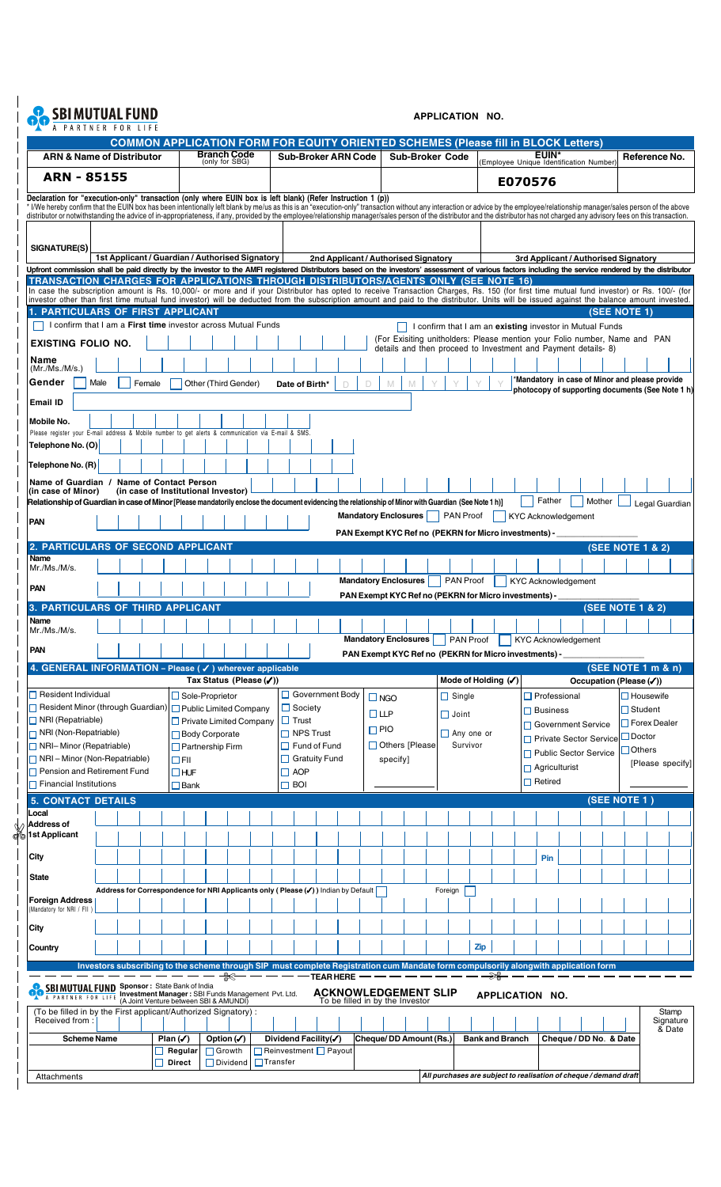## **OC SBIMUTUAL FUND**

## **APPLICATION NO.**

| <b>ARN &amp; Name of Distributor</b>                                                                                                                                                                                                                                                                                                                                                                                                                             | <b>COMMON APPLICATION FORM FOR EQUITY ORIENTED SCHEMES (Please fill in BLOCK Letters)</b>                                           |                                        |                                                         | (only for SBG)                                            | <b>Branch Code</b>      |                 |                                             |                  | <b>Sub-Broker ARN Code</b>                                     |                                                       |          | <b>Sub-Broker Code</b>                                        |         |                                                 |                        |  | <b>EUIN*</b><br>Employee Unique Identification Number)   |                        |                                                                            | Reference No.    |        |
|------------------------------------------------------------------------------------------------------------------------------------------------------------------------------------------------------------------------------------------------------------------------------------------------------------------------------------------------------------------------------------------------------------------------------------------------------------------|-------------------------------------------------------------------------------------------------------------------------------------|----------------------------------------|---------------------------------------------------------|-----------------------------------------------------------|-------------------------|-----------------|---------------------------------------------|------------------|----------------------------------------------------------------|-------------------------------------------------------|----------|---------------------------------------------------------------|---------|-------------------------------------------------|------------------------|--|----------------------------------------------------------|------------------------|----------------------------------------------------------------------------|------------------|--------|
| <b>ARN - 85155</b>                                                                                                                                                                                                                                                                                                                                                                                                                                               |                                                                                                                                     |                                        |                                                         |                                                           |                         |                 |                                             |                  |                                                                |                                                       |          |                                                               |         |                                                 |                        |  | E070576                                                  |                        |                                                                            |                  |        |
| Declaration for "execution-only" transaction (only where EUIN box is left blank) (Refer Instruction 1 (p))                                                                                                                                                                                                                                                                                                                                                       |                                                                                                                                     |                                        |                                                         |                                                           |                         |                 |                                             |                  |                                                                |                                                       |          |                                                               |         |                                                 |                        |  |                                                          |                        |                                                                            |                  |        |
| * I/We hereby confirm that the EUIN box has been intentionally left blank by me/us as this is an "execution-only" transaction without any interaction or advice by the employee/relationship manager/sales person of the above<br>distributor or notwithstanding the advice of in-appropriateness, if any, provided by the employee/relationship manager/sales person of the distributor and the distributor has not charged any advisory fees on this transacti |                                                                                                                                     |                                        |                                                         |                                                           |                         |                 |                                             |                  |                                                                |                                                       |          |                                                               |         |                                                 |                        |  |                                                          |                        |                                                                            |                  |        |
|                                                                                                                                                                                                                                                                                                                                                                                                                                                                  |                                                                                                                                     |                                        |                                                         |                                                           |                         |                 |                                             |                  |                                                                |                                                       |          |                                                               |         |                                                 |                        |  |                                                          |                        |                                                                            |                  |        |
| SIGNATURE(S)                                                                                                                                                                                                                                                                                                                                                                                                                                                     | 1st Applicant / Guardian / Authorised Signatory                                                                                     |                                        |                                                         |                                                           |                         |                 |                                             |                  |                                                                |                                                       |          |                                                               |         |                                                 |                        |  |                                                          |                        |                                                                            |                  |        |
| Upfront commission shall be paid directly by the investor to the AMFI registered Distributors based on the investors' assessment of various factors including the service rendered by the distributor                                                                                                                                                                                                                                                            |                                                                                                                                     |                                        |                                                         |                                                           |                         |                 |                                             |                  | 2nd Applicant / Authorised Signatory                           |                                                       |          |                                                               |         |                                                 |                        |  |                                                          |                        | 3rd Applicant / Authorised Signatory                                       |                  |        |
| TRANSACTION CHARGES FOR APPLICATIONS THROUGH DISTRIBUTORS/AGENTS ONLY (SEE NOTE 16)<br>In case the subscription amount is Rs. 10,000/- or more and if your Distributor has opted to receive Transaction Charges, Rs. 150 (for first time mutual fund investor) or Rs. 100/- (for                                                                                                                                                                                 |                                                                                                                                     |                                        |                                                         |                                                           |                         |                 |                                             |                  |                                                                |                                                       |          |                                                               |         |                                                 |                        |  |                                                          |                        |                                                                            |                  |        |
| investor other than first time mutual fund investor) will be deducted from the subscription amount and paid to the distributor. Units will be issued against the balance amount invested.<br>1. PARTICULARS OF FIRST APPLICANT                                                                                                                                                                                                                                   |                                                                                                                                     |                                        |                                                         |                                                           |                         |                 |                                             |                  |                                                                |                                                       |          |                                                               |         |                                                 |                        |  |                                                          |                        | (SEE NOTE 1)                                                               |                  |        |
| I confirm that I am a First time investor across Mutual Funds                                                                                                                                                                                                                                                                                                                                                                                                    |                                                                                                                                     |                                        |                                                         |                                                           |                         |                 |                                             |                  |                                                                |                                                       |          |                                                               |         |                                                 |                        |  | I confirm that I am an existing investor in Mutual Funds |                        |                                                                            |                  |        |
| <b>EXISTING FOLIO NO.</b>                                                                                                                                                                                                                                                                                                                                                                                                                                        |                                                                                                                                     |                                        |                                                         |                                                           |                         |                 |                                             |                  |                                                                |                                                       |          | details and then proceed to Investment and Payment details-8) |         |                                                 |                        |  |                                                          |                        | (For Exisiting unitholders: Please mention your Folio number, Name and PAN |                  |        |
| Name<br>(Mr./Ms./M/s.)                                                                                                                                                                                                                                                                                                                                                                                                                                           |                                                                                                                                     |                                        |                                                         |                                                           |                         |                 |                                             |                  |                                                                |                                                       |          |                                                               |         |                                                 |                        |  |                                                          |                        |                                                                            |                  |        |
| Gender<br>Male                                                                                                                                                                                                                                                                                                                                                                                                                                                   |                                                                                                                                     | Female                                 |                                                         |                                                           | Other (Third Gender)    |                 | Date of Birth*                              |                  |                                                                | D                                                     | M        | М                                                             |         |                                                 |                        |  |                                                          |                        | *Mandatory in case of Minor and please provide                             |                  |        |
| Email ID                                                                                                                                                                                                                                                                                                                                                                                                                                                         |                                                                                                                                     |                                        |                                                         |                                                           |                         |                 |                                             |                  |                                                                |                                                       |          |                                                               |         |                                                 |                        |  |                                                          |                        | photocopy of supporting documents (See Note 1 h)                           |                  |        |
| Mobile No.                                                                                                                                                                                                                                                                                                                                                                                                                                                       |                                                                                                                                     |                                        |                                                         |                                                           |                         |                 |                                             |                  |                                                                |                                                       |          |                                                               |         |                                                 |                        |  |                                                          |                        |                                                                            |                  |        |
| Please register your E-mail address & Mobile number to get alerts & communication via E-mail & SMS.                                                                                                                                                                                                                                                                                                                                                              |                                                                                                                                     |                                        |                                                         |                                                           |                         |                 |                                             |                  |                                                                |                                                       |          |                                                               |         |                                                 |                        |  |                                                          |                        |                                                                            |                  |        |
| Telephone No. (O)                                                                                                                                                                                                                                                                                                                                                                                                                                                |                                                                                                                                     |                                        |                                                         |                                                           |                         |                 |                                             |                  |                                                                |                                                       |          |                                                               |         |                                                 |                        |  |                                                          |                        |                                                                            |                  |        |
| Telephone No. (R)                                                                                                                                                                                                                                                                                                                                                                                                                                                |                                                                                                                                     |                                        |                                                         |                                                           |                         |                 |                                             |                  |                                                                |                                                       |          |                                                               |         |                                                 |                        |  |                                                          |                        |                                                                            |                  |        |
| Name of Guardian / Name of Contact Person<br>(in case of Minor)                                                                                                                                                                                                                                                                                                                                                                                                  | (in case of Institutional Investor)                                                                                                 |                                        |                                                         |                                                           |                         |                 |                                             |                  |                                                                |                                                       |          |                                                               |         |                                                 |                        |  |                                                          |                        |                                                                            |                  |        |
| Relationship of Guardian in case of Minor [Please mandatorily enclose the document evidencing the relationship of Minor with Guardian (See Note 1 h)]                                                                                                                                                                                                                                                                                                            |                                                                                                                                     |                                        |                                                         |                                                           |                         |                 |                                             |                  |                                                                |                                                       |          |                                                               |         |                                                 |                        |  | Father                                                   | Mother                 |                                                                            | Legal Guardian   |        |
| <b>PAN</b>                                                                                                                                                                                                                                                                                                                                                                                                                                                       |                                                                                                                                     |                                        |                                                         |                                                           |                         |                 |                                             |                  | <b>Mandatory Enclosures</b>                                    |                                                       |          |                                                               |         | <b>PAN Proof</b>                                |                        |  | <b>KYC Acknowledgement</b>                               |                        |                                                                            |                  |        |
| <b>2. PARTICULARS OF SECOND APPLICANT</b>                                                                                                                                                                                                                                                                                                                                                                                                                        |                                                                                                                                     |                                        |                                                         |                                                           |                         |                 |                                             |                  | PAN Exempt KYC Ref no (PEKRN for Micro investments) -          |                                                       |          |                                                               |         |                                                 |                        |  |                                                          |                        | <b>(SEE NOTE 1 &amp; 2)</b>                                                |                  |        |
| Name<br>Mr./Ms./M/s.                                                                                                                                                                                                                                                                                                                                                                                                                                             |                                                                                                                                     |                                        |                                                         |                                                           |                         |                 |                                             |                  |                                                                |                                                       |          |                                                               |         |                                                 |                        |  |                                                          |                        |                                                                            |                  |        |
|                                                                                                                                                                                                                                                                                                                                                                                                                                                                  |                                                                                                                                     |                                        |                                                         |                                                           |                         |                 |                                             |                  | <b>Mandatory Enclosures</b>                                    |                                                       |          |                                                               |         | <b>PAN Proof</b>                                |                        |  | <b>KYC Acknowledgement</b>                               |                        |                                                                            |                  |        |
| PAN                                                                                                                                                                                                                                                                                                                                                                                                                                                              |                                                                                                                                     |                                        |                                                         |                                                           |                         |                 |                                             |                  |                                                                | PAN Exempt KYC Ref no (PEKRN for Micro investments) - |          |                                                               |         |                                                 |                        |  |                                                          |                        |                                                                            |                  |        |
| <b>3. PARTICULARS OF THIRD APPLICANT</b><br>Name                                                                                                                                                                                                                                                                                                                                                                                                                 |                                                                                                                                     |                                        |                                                         |                                                           |                         |                 |                                             |                  |                                                                |                                                       |          |                                                               |         |                                                 |                        |  |                                                          |                        | <b>(SEE NOTE 1 &amp; 2)</b>                                                |                  |        |
| Mr./Ms./M/s.                                                                                                                                                                                                                                                                                                                                                                                                                                                     |                                                                                                                                     |                                        |                                                         |                                                           |                         |                 |                                             |                  |                                                                | <b>Mandatory Enclosures</b>                           |          |                                                               |         | <b>PAN Proof</b>                                |                        |  | <b>KYC Acknowledgement</b>                               |                        |                                                                            |                  |        |
| <b>PAN</b>                                                                                                                                                                                                                                                                                                                                                                                                                                                       |                                                                                                                                     |                                        |                                                         |                                                           |                         |                 |                                             |                  |                                                                | PAN Exempt KYC Ref no (PEKRN for Micro investments) - |          |                                                               |         |                                                 |                        |  |                                                          |                        |                                                                            |                  |        |
| 4. GENERAL INFORMATION - Please ( J) wherever applicable                                                                                                                                                                                                                                                                                                                                                                                                         |                                                                                                                                     |                                        |                                                         |                                                           |                         |                 |                                             |                  |                                                                |                                                       |          |                                                               |         |                                                 |                        |  |                                                          |                        | (SEE NOTE 1 m & n)                                                         |                  |        |
| Resident Individual                                                                                                                                                                                                                                                                                                                                                                                                                                              |                                                                                                                                     |                                        | Sole-Proprietor                                         |                                                           | Tax Status (Please (√)) |                 |                                             |                  | $\Box$ Government Body                                         | $\Box$ NGO                                            |          |                                                               |         | Mode of Holding $(\checkmark)$<br>$\Box$ Single |                        |  | $\Box$ Professional                                      |                        | Occupation (Please (√))                                                    | $\Box$ Housewife |        |
| □ Resident Minor (through Guardian) D Public Limited Company                                                                                                                                                                                                                                                                                                                                                                                                     |                                                                                                                                     |                                        |                                                         |                                                           |                         |                 | $\Box$ Society                              |                  |                                                                | $\square$ LLP                                         |          |                                                               |         | $\Box$ Joint                                    |                        |  | $\Box$ Business                                          |                        | $\sqcap$ Student                                                           |                  |        |
| $\Box$ NRI (Repatriable)<br><b>NRI</b> (Non-Repatriable)                                                                                                                                                                                                                                                                                                                                                                                                         |                                                                                                                                     |                                        | $\Box$ Private Limited Company<br>$\Box$ Body Corporate |                                                           |                         |                 | $\Box$ Trust<br>$\Box$ NPS Trust            |                  |                                                                | $\Box$ PIO                                            |          |                                                               |         | $\Box$ Any one or                               |                        |  | □ Government Service                                     |                        |                                                                            | □ Forex Dealer   |        |
| $\Box$ NRI-Minor (Repatriable)                                                                                                                                                                                                                                                                                                                                                                                                                                   |                                                                                                                                     |                                        | $\Box$ Partnership Firm                                 |                                                           |                         |                 | $\Box$ Fund of Fund                         |                  |                                                                |                                                       |          | □ Others [Please                                              |         | Survivor                                        |                        |  | □ Private Sector Service                                 |                        | $\Box$ Doctor<br>Others                                                    |                  |        |
| $\Box$ NRI - Minor (Non-Repatriable)                                                                                                                                                                                                                                                                                                                                                                                                                             |                                                                                                                                     |                                        | $\Box$ FII                                              |                                                           |                         |                 | $\Box$ Gratuity Fund                        |                  |                                                                |                                                       | specify] |                                                               |         |                                                 |                        |  | □ Public Sector Service<br>$\Box$ Agriculturist          |                        |                                                                            | [Please specify] |        |
| Pension and Retirement Fund<br>$\Box$ Financial Institutions                                                                                                                                                                                                                                                                                                                                                                                                     |                                                                                                                                     |                                        | $\square$ HUF<br>$\square$ Bank                         |                                                           |                         |                 | $\Box$ AOP<br>$\Box$ Boi                    |                  |                                                                |                                                       |          |                                                               |         |                                                 |                        |  | $\Box$ Retired                                           |                        |                                                                            |                  |        |
| <b>5. CONTACT DETAILS</b>                                                                                                                                                                                                                                                                                                                                                                                                                                        |                                                                                                                                     |                                        |                                                         |                                                           |                         |                 |                                             |                  |                                                                |                                                       |          |                                                               |         |                                                 |                        |  |                                                          |                        | (SEE NOTE 1)                                                               |                  |        |
| Local                                                                                                                                                                                                                                                                                                                                                                                                                                                            |                                                                                                                                     |                                        |                                                         |                                                           |                         |                 |                                             |                  |                                                                |                                                       |          |                                                               |         |                                                 |                        |  |                                                          |                        |                                                                            |                  |        |
| Address of<br>Ist Applicant                                                                                                                                                                                                                                                                                                                                                                                                                                      |                                                                                                                                     |                                        |                                                         |                                                           |                         |                 |                                             |                  |                                                                |                                                       |          |                                                               |         |                                                 |                        |  |                                                          |                        |                                                                            |                  |        |
| City                                                                                                                                                                                                                                                                                                                                                                                                                                                             |                                                                                                                                     |                                        |                                                         |                                                           |                         |                 |                                             |                  |                                                                |                                                       |          |                                                               |         |                                                 |                        |  | Pin                                                      |                        |                                                                            |                  |        |
| <b>State</b>                                                                                                                                                                                                                                                                                                                                                                                                                                                     |                                                                                                                                     |                                        |                                                         |                                                           |                         |                 |                                             |                  |                                                                |                                                       |          |                                                               |         |                                                 |                        |  |                                                          |                        |                                                                            |                  |        |
|                                                                                                                                                                                                                                                                                                                                                                                                                                                                  | Address for Correspondence for NRI Applicants only (Please $(\checkmark)$ ) Indian by Default $\lceil$                              |                                        |                                                         |                                                           |                         |                 |                                             |                  |                                                                |                                                       |          |                                                               | Foreign |                                                 |                        |  |                                                          |                        |                                                                            |                  |        |
| <b>Foreign Address</b><br>Mandatory for NRI / FII                                                                                                                                                                                                                                                                                                                                                                                                                |                                                                                                                                     |                                        |                                                         |                                                           |                         |                 |                                             |                  |                                                                |                                                       |          |                                                               |         |                                                 |                        |  |                                                          |                        |                                                                            |                  |        |
| City                                                                                                                                                                                                                                                                                                                                                                                                                                                             |                                                                                                                                     |                                        |                                                         |                                                           |                         |                 |                                             |                  |                                                                |                                                       |          |                                                               |         |                                                 |                        |  |                                                          |                        |                                                                            |                  |        |
| Country                                                                                                                                                                                                                                                                                                                                                                                                                                                          |                                                                                                                                     |                                        |                                                         |                                                           |                         |                 |                                             |                  |                                                                |                                                       |          |                                                               |         |                                                 | <b>Zip</b>             |  |                                                          |                        |                                                                            |                  |        |
|                                                                                                                                                                                                                                                                                                                                                                                                                                                                  | Investors subscribing to the scheme through SIP must complete Registration cum Mandate form compulsorily alongwith application form |                                        |                                                         |                                                           |                         |                 |                                             |                  |                                                                |                                                       |          |                                                               |         |                                                 |                        |  |                                                          |                        |                                                                            |                  |        |
| <b>SBI MUTUAL FUND Sponsor: State Bank of India</b>                                                                                                                                                                                                                                                                                                                                                                                                              |                                                                                                                                     |                                        |                                                         |                                                           |                         |                 |                                             | <b>TEAR HERE</b> |                                                                |                                                       |          |                                                               |         |                                                 |                        |  |                                                          |                        |                                                                            |                  |        |
|                                                                                                                                                                                                                                                                                                                                                                                                                                                                  |                                                                                                                                     | (A Joint Venture between SBI & AMUNDI) |                                                         |                                                           |                         |                 |                                             |                  | <b>ACKNOWLEDGEMENT SLIP</b><br>To be filled in by the Investor |                                                       |          |                                                               |         |                                                 |                        |  | APPLICATION NO.                                          |                        |                                                                            |                  |        |
| A PARTNER FOR LIFE Investment Manager : SBI Funds Management Pvt. Ltd.                                                                                                                                                                                                                                                                                                                                                                                           |                                                                                                                                     |                                        |                                                         |                                                           |                         |                 |                                             |                  |                                                                |                                                       |          |                                                               |         |                                                 |                        |  |                                                          |                        |                                                                            |                  | Stamp  |
| (To be filled in by the First applicant/Authorized Signatory):<br>Received from:                                                                                                                                                                                                                                                                                                                                                                                 |                                                                                                                                     |                                        |                                                         |                                                           |                         |                 |                                             |                  |                                                                |                                                       |          |                                                               |         |                                                 |                        |  |                                                          |                        |                                                                            |                  |        |
| <b>Scheme Name</b>                                                                                                                                                                                                                                                                                                                                                                                                                                               |                                                                                                                                     | Plan $(\checkmark)$                    |                                                         |                                                           |                         |                 |                                             |                  |                                                                |                                                       |          |                                                               |         |                                                 | <b>Bank and Branch</b> |  |                                                          |                        |                                                                            | Signature        | & Date |
|                                                                                                                                                                                                                                                                                                                                                                                                                                                                  |                                                                                                                                     | $\Box$ Direct                          | Regular                                                 | Option $(\checkmark)$<br>$\Box$ Growth<br>$\Box$ Dividend |                         | $\Box$ Transfer | Dividend Facility(√)<br>Reinvestment Payout |                  |                                                                | Cheque/DD Amount (Rs.)                                |          |                                                               |         |                                                 |                        |  |                                                          | Cheque / DD No. & Date |                                                                            |                  |        |